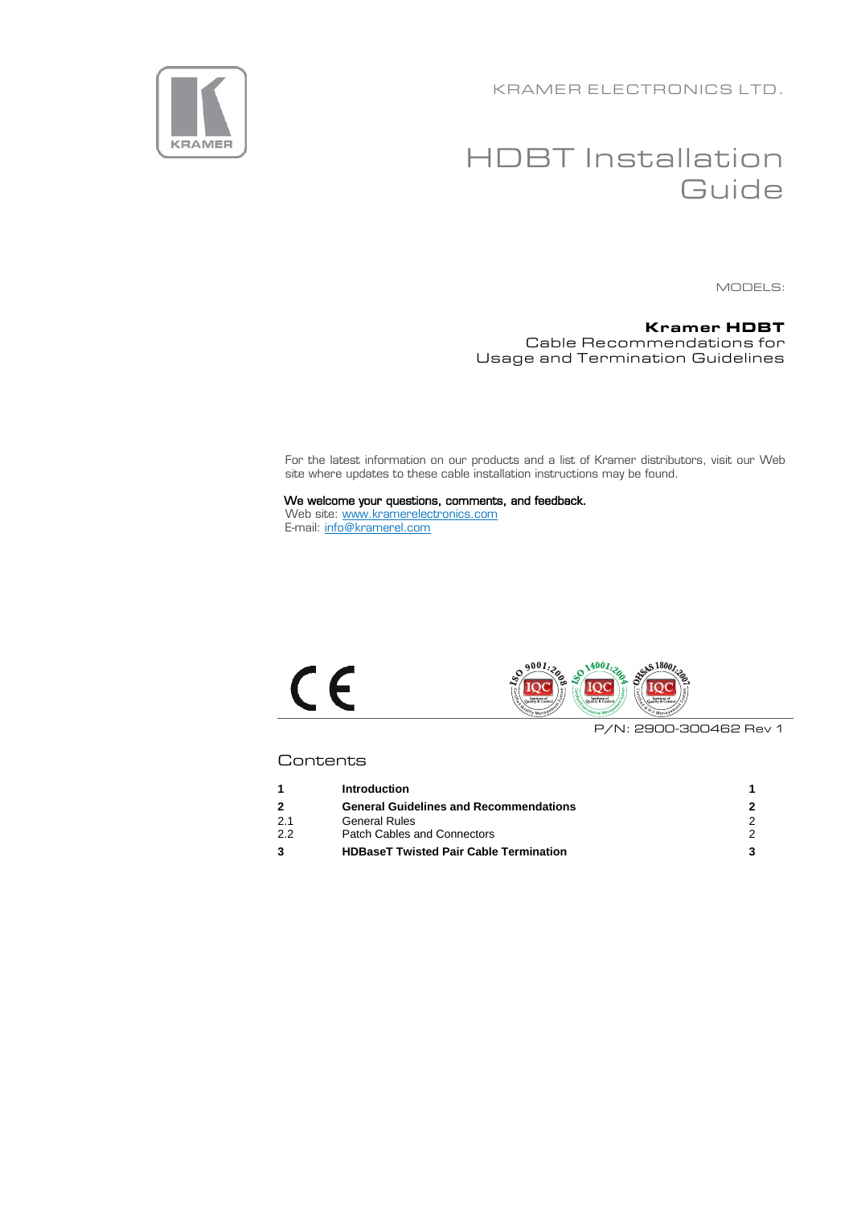KRAMER ELECTRONICS LTD.



# HDBT Installation **Guide**

MODELS:

#### **Kramer HDBT** Cable Recommendations for Usage and Termination Guidelines

For the latest information on our products and a list of Kramer distributors, visit our Web site where updates to these cable installation instructions may be found.

We welcome your questions, comments, and feedback. Web site: [www.kramerelectronics.com](http://www.kramerelectronics.com/) E-mail: [info@kramerel.com](mailto:info@kramerel.com)





P/N: 2900-300462 Rev 1

# **Contents**

|     | <b>Introduction</b>                           |  |
|-----|-----------------------------------------------|--|
|     | <b>General Guidelines and Recommendations</b> |  |
| 2.1 | <b>General Rules</b>                          |  |
| 2.2 | <b>Patch Cables and Connectors</b>            |  |
|     | <b>HDBaseT Twisted Pair Cable Termination</b> |  |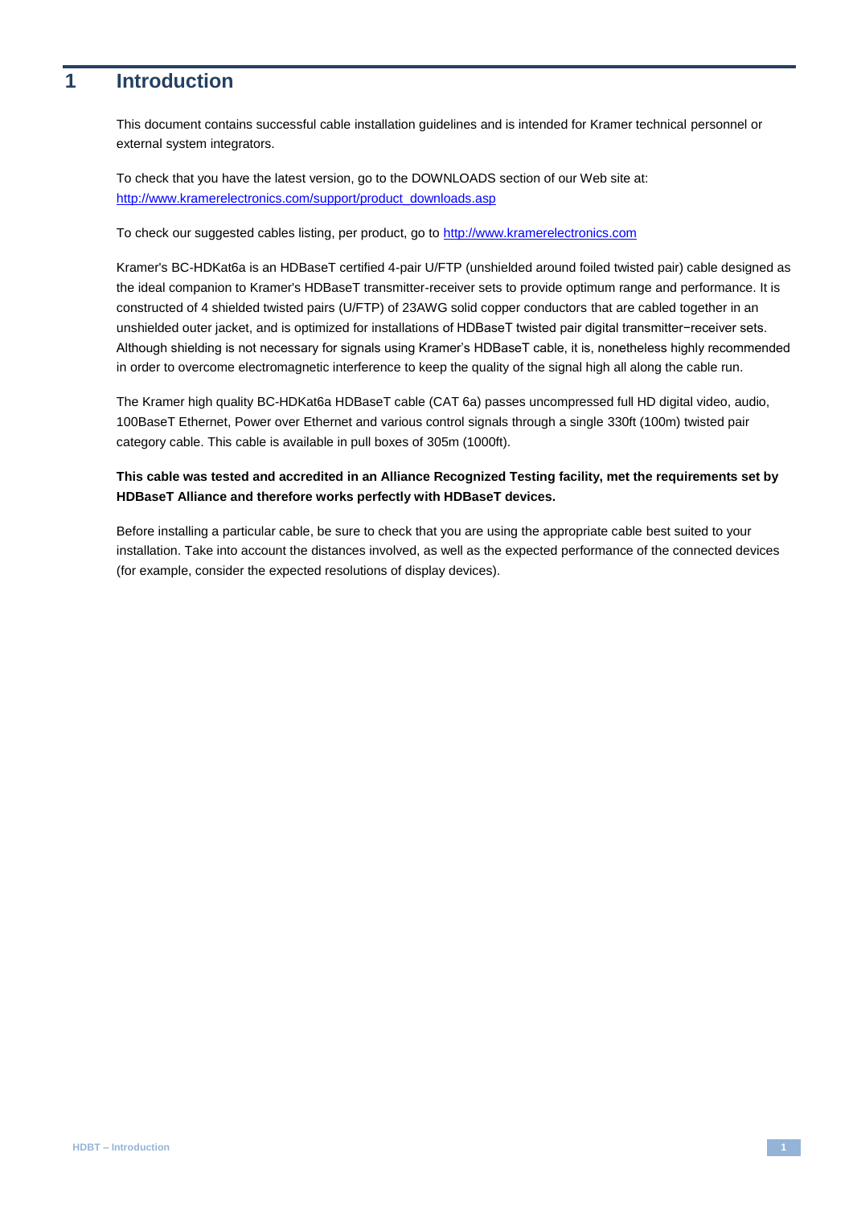# <span id="page-1-0"></span>**1 Introduction**

This document contains successful cable installation guidelines and is intended for Kramer technical personnel or external system integrators.

To check that you have the latest version, go to the DOWNLOADS section of our Web site at: [http://www.kramerelectronics.com/support/product\\_downloads.asp](http://www.kramerelectronics.com/support/product_downloads.asp)

To check our suggested cables listing, per product, go to [http://www.kramerelectronics.com](http://www.kramerelectronics.com/)

Kramer's BC-HDKat6a is an HDBaseT certified 4-pair U/FTP (unshielded around foiled twisted pair) cable designed as the ideal companion to Kramer's HDBaseT transmitter-receiver sets to provide optimum range and performance. It is constructed of 4 shielded twisted pairs (U/FTP) of 23AWG solid copper conductors that are cabled together in an unshielded outer jacket, and is optimized for installations of HDBaseT twisted pair digital transmitter−receiver sets. Although shielding is not necessary for signals using Kramer's HDBaseT cable, it is, nonetheless highly recommended in order to overcome electromagnetic interference to keep the quality of the signal high all along the cable run.

The Kramer high quality BC-HDKat6a HDBaseT cable (CAT 6a) passes uncompressed full HD digital video, audio, 100BaseT Ethernet, Power over Ethernet and various control signals through a single 330ft (100m) twisted pair category cable. This cable is available in pull boxes of 305m (1000ft).

# **This cable was tested and accredited in an Alliance Recognized Testing facility, met the requirements set by HDBaseT Alliance and therefore works perfectly with HDBaseT devices.**

Before installing a particular cable, be sure to check that you are using the appropriate cable best suited to your installation. Take into account the distances involved, as well as the expected performance of the connected devices (for example, consider the expected resolutions of display devices).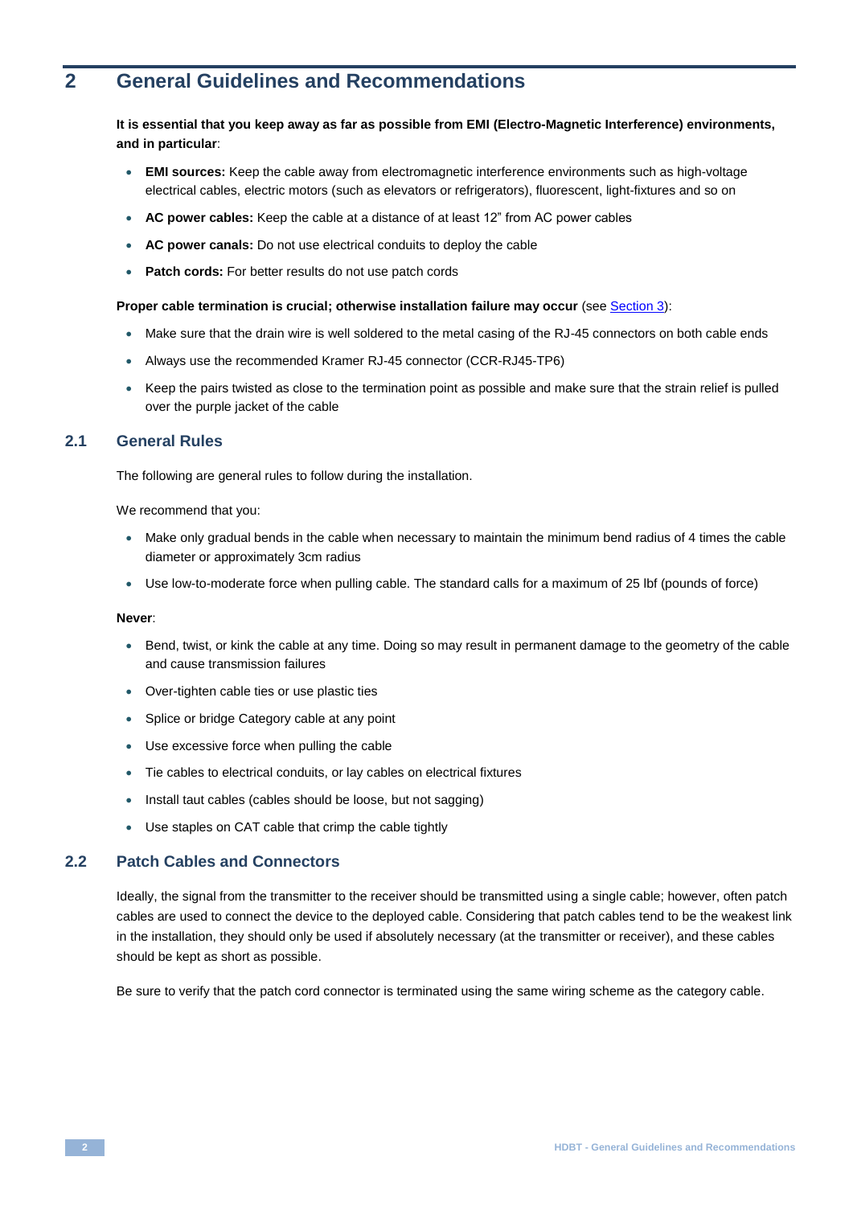# <span id="page-2-0"></span>**2 General Guidelines and Recommendations**

### **It is essential that you keep away as far as possible from EMI (Electro-Magnetic Interference) environments, and in particular**:

- **EMI sources:** Keep the cable away from electromagnetic interference environments such as high-voltage electrical cables, electric motors (such as elevators or refrigerators), fluorescent, light-fixtures and so on
- **AC power cables:** Keep the cable at a distance of at least 12" from AC power cables
- **AC power canals:** Do not use electrical conduits to deploy the cable
- **Patch cords:** For better results do not use patch cords

#### **Proper cable termination is crucial; otherwise installation failure may occur (see Sectio[n 3\)](#page-3-0):**

- Make sure that the drain wire is well soldered to the metal casing of the RJ-45 connectors on both cable ends
- Always use the recommended Kramer RJ-45 connector (CCR-RJ45-TP6)
- Keep the pairs twisted as close to the termination point as possible and make sure that the strain relief is pulled over the purple jacket of the cable

# <span id="page-2-1"></span>**2.1 General Rules**

The following are general rules to follow during the installation.

We recommend that you:

- Make only gradual bends in the cable when necessary to maintain the minimum bend radius of 4 times the cable diameter or approximately 3cm radius
- Use low-to-moderate force when pulling cable. The standard calls for a maximum of 25 lbf (pounds of force)

#### **Never**:

- Bend, twist, or kink the cable at any time. Doing so may result in permanent damage to the geometry of the cable and cause transmission failures
- Over-tighten cable ties or use plastic ties
- Splice or bridge Category cable at any point
- Use excessive force when pulling the cable
- Tie cables to electrical conduits, or lay cables on electrical fixtures
- Install taut cables (cables should be loose, but not sagging)
- Use staples on CAT cable that crimp the cable tightly

# <span id="page-2-2"></span>**2.2 Patch Cables and Connectors**

Ideally, the signal from the transmitter to the receiver should be transmitted using a single cable; however, often patch cables are used to connect the device to the deployed cable. Considering that patch cables tend to be the weakest link in the installation, they should only be used if absolutely necessary (at the transmitter or receiver), and these cables should be kept as short as possible.

Be sure to verify that the patch cord connector is terminated using the same wiring scheme as the category cable.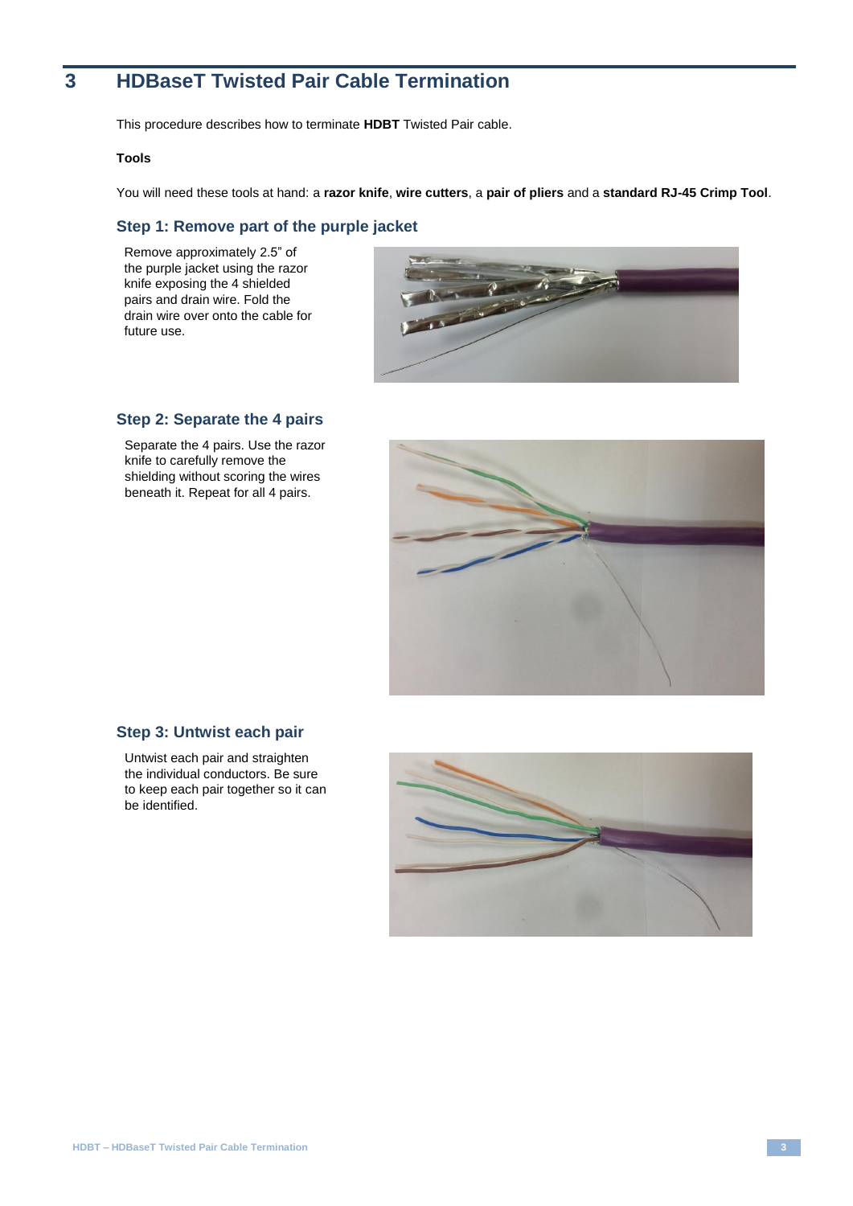# <span id="page-3-0"></span>**3 HDBaseT Twisted Pair Cable Termination**

This procedure describes how to terminate **HDBT** Twisted Pair cable.

#### **Tools**

You will need these tools at hand: a **razor knife**, **wire cutters**, a **pair of pliers** and a **standard RJ-45 Crimp Tool**.

# **Step 1: Remove part of the purple jacket**

Remove approximately 2.5" of the purple jacket using the razor knife exposing the 4 shielded pairs and drain wire. Fold the drain wire over onto the cable for future use.



# **Step 2: Separate the 4 pairs**

Separate the 4 pairs. Use the razor knife to carefully remove the shielding without scoring the wires beneath it. Repeat for all 4 pairs.



## **Step 3: Untwist each pair**

Untwist each pair and straighten the individual conductors. Be sure to keep each pair together so it can be identified.

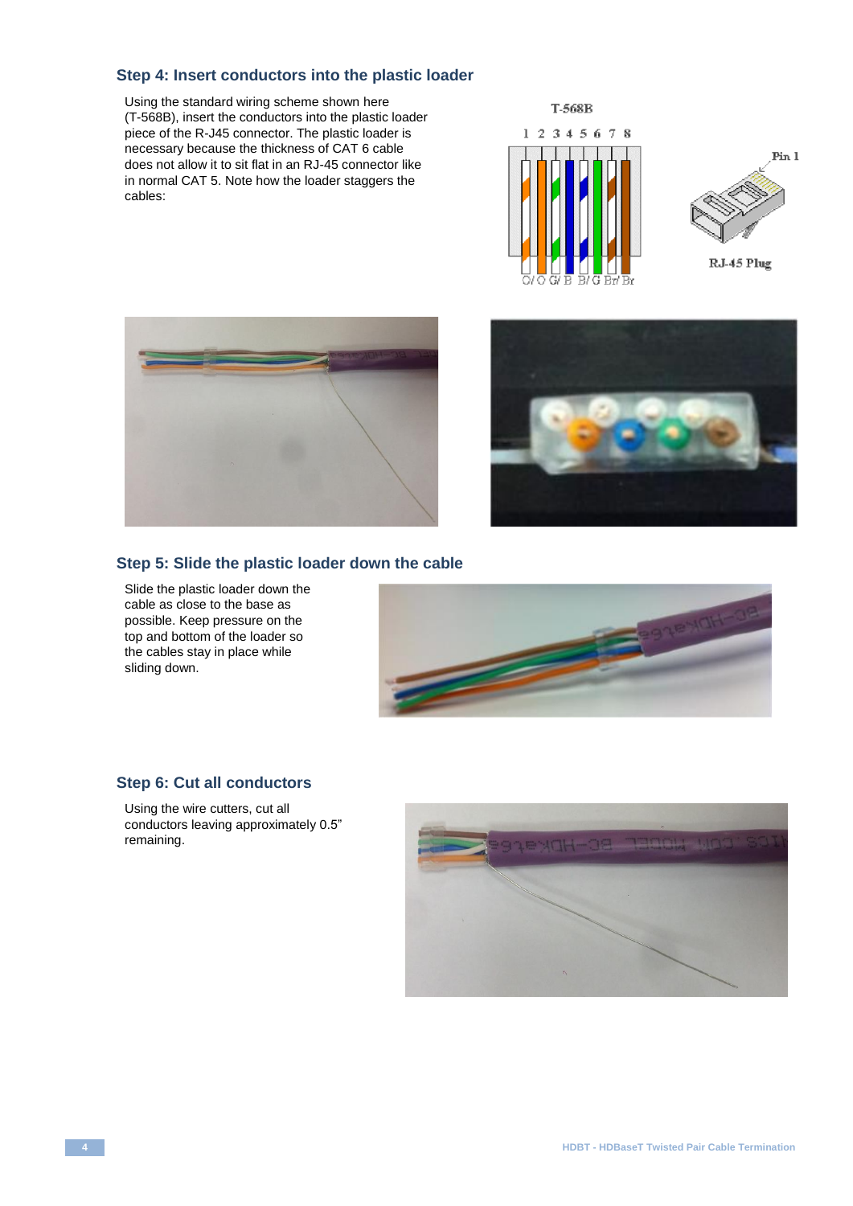# **Step 4: Insert conductors into the plastic loader**

Using the standard wiring scheme shown here (T-568B), insert the conductors into the plastic loader piece of the R-J45 connector. The plastic loader is necessary because the thickness of CAT 6 cable does not allow it to sit flat in an RJ-45 connector like in normal CAT 5. Note how the loader staggers the cables:







# **Step 5: Slide the plastic loader down the cable**

Slide the plastic loader down the cable as close to the base as possible. Keep pressure on the top and bottom of the loader so the cables stay in place while sliding down.



# **Step 6: Cut all conductors**

Using the wire cutters, cut all conductors leaving approximately 0.5" remaining.